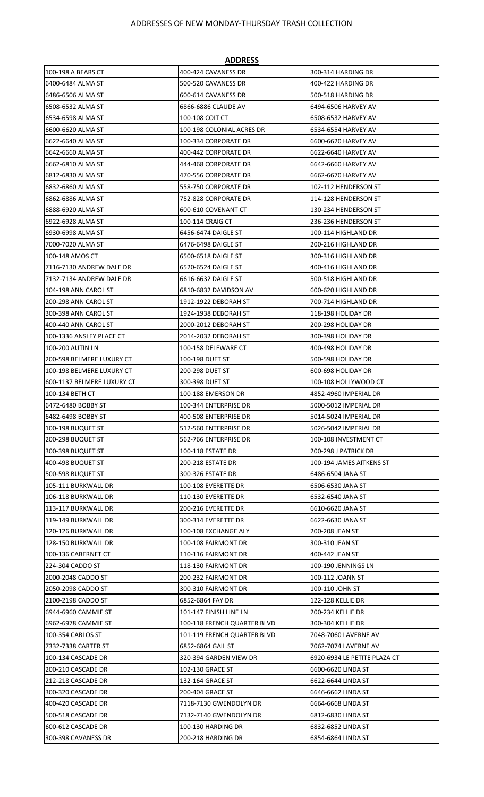|                            | <u>ADDNL33</u>              |                              |
|----------------------------|-----------------------------|------------------------------|
| 100-198 A BEARS CT         | 400-424 CAVANESS DR         | 300-314 HARDING DR           |
| 6400-6484 ALMA ST          | 500-520 CAVANESS DR         | 400-422 HARDING DR           |
| 6486-6506 ALMA ST          | 600-614 CAVANESS DR         | 500-518 HARDING DR           |
| 6508-6532 ALMA ST          | 6866-6886 CLAUDE AV         | 6494-6506 HARVEY AV          |
| 16534-6598 ALMA ST         | 100-108 COIT CT             | 6508-6532 HARVEY AV          |
| 16600-6620 ALMA ST         | 100-198 COLONIAL ACRES DR   | 6534-6554 HARVEY AV          |
| 16622-6640 ALMA ST         | 100-334 CORPORATE DR        | 6600-6620 HARVEY AV          |
| 6642-6660 ALMA ST          | 400-442 CORPORATE DR        | 6622-6640 HARVEY AV          |
| 6662-6810 ALMA ST          | 444-468 CORPORATE DR        | 6642-6660 HARVEY AV          |
| 16812-6830 ALMA ST         | 470-556 CORPORATE DR        | 6662-6670 HARVEY AV          |
| 6832-6860 ALMA ST          | 558-750 CORPORATE DR        | 102-112 HENDERSON ST         |
| 16862-6886 ALMA ST         | 752-828 CORPORATE DR        | 114-128 HENDERSON ST         |
| 16888-6920 ALMA ST         | 600-610 COVENANT CT         | 130-234 HENDERSON ST         |
| 6922-6928 ALMA ST          | 100-114 CRAIG CT            | 236-236 HENDERSON ST         |
| 6930-6998 ALMA ST          | 6456-6474 DAIGLE ST         | 100-114 HIGHLAND DR          |
| 7000-7020 ALMA ST          | 6476-6498 DAIGLE ST         | 200-216 HIGHLAND DR          |
| 100-148 AMOS CT            | 6500-6518 DAIGLE ST         | 300-316 HIGHLAND DR          |
| 7116-7130 ANDREW DALE DR   | 6520-6524 DAIGLE ST         | 400-416 HIGHLAND DR          |
| 7132-7134 ANDREW DALE DR   | 6616-6632 DAIGLE ST         | 500-518 HIGHLAND DR          |
| 104-198 ANN CAROL ST       | 6810-6832 DAVIDSON AV       | 600-620 HIGHLAND DR          |
| 200-298 ANN CAROL ST       | 1912-1922 DEBORAH ST        | 700-714 HIGHLAND DR          |
| 300-398 ANN CAROL ST       | 1924-1938 DEBORAH ST        | 118-198 HOLIDAY DR           |
| 400-440 ANN CAROL ST       | 2000-2012 DEBORAH ST        | 200-298 HOLIDAY DR           |
| 100-1336 ANSLEY PLACE CT   | 2014-2032 DEBORAH ST        | 300-398 HOLIDAY DR           |
| 100-200 AUTIN LN           | 100-158 DELEWARE CT         | 400-498 HOLIDAY DR           |
| 200-598 BELMERE LUXURY CT  | 100-198 DUET ST             | 500-598 HOLIDAY DR           |
| 100-198 BELMERE LUXURY CT  | 200-298 DUET ST             | 600-698 HOLIDAY DR           |
| 600-1137 BELMERE LUXURY CT | 300-398 DUET ST             | 100-108 HOLLYWOOD CT         |
| 100-134 BETH CT            | 100-188 EMERSON DR          | 4852-4960 IMPERIAL DR        |
| 6472-6480 BOBBY ST         | 100-344 ENTERPRISE DR       | 5000-5012 IMPERIAL DR        |
| 6482-6498 BOBBY ST         | 400-508 ENTERPRISE DR       | 5014-5024 IMPERIAL DR        |
| 100-198 BUQUET ST          | 512-560 ENTERPRISE DR       | 5026-5042 IMPERIAL DR        |
| 200-298 BUQUET ST          | 562-766 ENTERPRISE DR       | 100-108 INVESTMENT CT        |
| 300-398 BUQUET ST          | 100-118 ESTATE DR           | 200-298 J PATRICK DR         |
| 400-498 BUQUET ST          | 200-218 ESTATE DR           | 100-194 JAMES AITKENS ST     |
| 500-598 BUQUET ST          | 300-326 ESTATE DR           | 6486-6504 JANA ST            |
| 105-111 BURKWALL DR        | 100-108 EVERETTE DR         | 6506-6530 JANA ST            |
| 106-118 BURKWALL DR        | 110-130 EVERETTE DR         | 6532-6540 JANA ST            |
| 113-117 BURKWALL DR        | 200-216 EVERETTE DR         | 6610-6620 JANA ST            |
| 119-149 BURKWALL DR        | 300-314 EVERETTE DR         | 6622-6630 JANA ST            |
| 120-126 BURKWALL DR        | 100-108 EXCHANGE ALY        | 200-208 JEAN ST              |
| 128-150 BURKWALL DR        | 100-108 FAIRMONT DR         | 300-310 JEAN ST              |
| 100-136 CABERNET CT        | 110-116 FAIRMONT DR         | 400-442 JEAN ST              |
| 224-304 CADDO ST           | 118-130 FAIRMONT DR         | 100-190 JENNINGS LN          |
| 2000-2048 CADDO ST         | 200-232 FAIRMONT DR         | 100-112 JOANN ST             |
| 2050-2098 CADDO ST         | 300-310 FAIRMONT DR         | 100-110 JOHN ST              |
| 2100-2198 CADDO ST         | 6852-6864 FAY DR            | <b>122-128 KELLIE DR</b>     |
| 6944-6960 CAMMIE ST        | 101-147 FINISH LINE LN      | 200-234 KELLIE DR            |
| 6962-6978 CAMMIE ST        | 100-118 FRENCH QUARTER BLVD | 300-304 KELLIE DR            |
| 100-354 CARLOS ST          | 101-119 FRENCH QUARTER BLVD | 7048-7060 LAVERNE AV         |
| 7332-7338 CARTER ST        | 6852-6864 GAIL ST           | 7062-7074 LAVERNE AV         |
| 100-134 CASCADE DR         | 320-394 GARDEN VIEW DR      | 6920-6934 LE PETITE PLAZA CT |
| 200-210 CASCADE DR         | 102-130 GRACE ST            | 6600-6620 LINDA ST           |
| 212-218 CASCADE DR         | 132-164 GRACE ST            | 6622-6644 LINDA ST           |
| 300-320 CASCADE DR         | 200-404 GRACE ST            | 6646-6662 LINDA ST           |
| 400-420 CASCADE DR         | 7118-7130 GWENDOLYN DR      | 6664-6668 LINDA ST           |
| 500-518 CASCADE DR         | 7132-7140 GWENDOLYN DR      | 6812-6830 LINDA ST           |
| 600-612 CASCADE DR         | 100-130 HARDING DR          | 6832-6852 LINDA ST           |
| 300-398 CAVANESS DR        | 200-218 HARDING DR          | 6854-6864 LINDA ST           |

## **ADDRESS**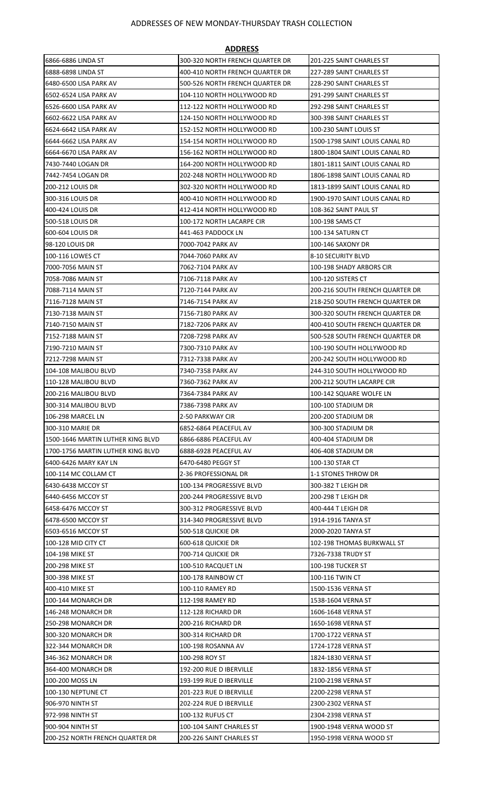| <b>ADDRESS</b>                                             |                                             |                                       |  |  |
|------------------------------------------------------------|---------------------------------------------|---------------------------------------|--|--|
| 6866-6886 LINDA ST                                         | 300-320 NORTH FRENCH QUARTER DR             | 201-225 SAINT CHARLES ST              |  |  |
| 6888-6898 LINDA ST                                         | 400-410 NORTH FRENCH QUARTER DR             | 227-289 SAINT CHARLES ST              |  |  |
| 6480-6500 LISA PARK AV                                     | 500-526 NORTH FRENCH QUARTER DR             | 228-290 SAINT CHARLES ST              |  |  |
| 6502-6524 LISA PARK AV                                     | 104-110 NORTH HOLLYWOOD RD                  | 291-299 SAINT CHARLES ST              |  |  |
| 6526-6600 LISA PARK AV                                     | 112-122 NORTH HOLLYWOOD RD                  | 292-298 SAINT CHARLES ST              |  |  |
| 6602-6622 LISA PARK AV                                     | 124-150 NORTH HOLLYWOOD RD                  | 300-398 SAINT CHARLES ST              |  |  |
| 6624-6642 LISA PARK AV                                     | 152-152 NORTH HOLLYWOOD RD                  | 100-230 SAINT LOUIS ST                |  |  |
| 6644-6662 LISA PARK AV                                     | 154-154 NORTH HOLLYWOOD RD                  | 1500-1798 SAINT LOUIS CANAL RD        |  |  |
| 6664-6670 LISA PARK AV                                     | 156-162 NORTH HOLLYWOOD RD                  | 1800-1804 SAINT LOUIS CANAL RD        |  |  |
| 7430-7440 LOGAN DR                                         | 164-200 NORTH HOLLYWOOD RD                  | 1801-1811 SAINT LOUIS CANAL RD        |  |  |
| 7442-7454 LOGAN DR                                         | 202-248 NORTH HOLLYWOOD RD                  | 1806-1898 SAINT LOUIS CANAL RD        |  |  |
| 1200-212 LOUIS DR                                          | 302-320 NORTH HOLLYWOOD RD                  | 1813-1899 SAINT LOUIS CANAL RD        |  |  |
| 300-316 LOUIS DR                                           | 400-410 NORTH HOLLYWOOD RD                  | 1900-1970 SAINT LOUIS CANAL RD        |  |  |
| 400-424 LOUIS DR                                           | 412-414 NORTH HOLLYWOOD RD                  | 108-362 SAINT PAUL ST                 |  |  |
| 500-518 LOUIS DR                                           | 100-172 NORTH LACARPE CIR                   | 100-198 SAMS CT                       |  |  |
| 600-604 LOUIS DR                                           | 441-463 PADDOCK LN                          | <b>100-134 SATURN CT</b>              |  |  |
| 98-120 LOUIS DR                                            | 7000-7042 PARK AV                           | 100-146 SAXONY DR                     |  |  |
| 100-116 LOWES CT                                           | 7044-7060 PARK AV                           | 8-10 SECURITY BLVD                    |  |  |
| 7000-7056 MAIN ST                                          | 7062-7104 PARK AV                           | 100-198 SHADY ARBORS CIR              |  |  |
| 7058-7086 MAIN ST                                          | 7106-7118 PARK AV                           | 100-120 SISTERS CT                    |  |  |
| 7088-7114 MAIN ST                                          | 7120-7144 PARK AV                           | 200-216 SOUTH FRENCH QUARTER DR       |  |  |
| 7116-7128 MAIN ST                                          | 7146-7154 PARK AV                           | 218-250 SOUTH FRENCH QUARTER DR       |  |  |
| l7130-7138 MAIN ST                                         | 7156-7180 PARK AV                           | 300-320 SOUTH FRENCH QUARTER DR       |  |  |
| 7140-7150 MAIN ST                                          | 7182-7206 PARK AV                           | 400-410 SOUTH FRENCH QUARTER DR       |  |  |
| 7152-7188 MAIN ST                                          | 7208-7298 PARK AV                           | 500-528 SOUTH FRENCH QUARTER DR       |  |  |
| 17190-7210 MAIN ST                                         | 7300-7310 PARK AV                           | 100-190 SOUTH HOLLYWOOD RD            |  |  |
| 7212-7298 MAIN ST                                          | 7312-7338 PARK AV                           | 200-242 SOUTH HOLLYWOOD RD            |  |  |
| 104-108 MALIBOU BLVD                                       | 7340-7358 PARK AV                           | 244-310 SOUTH HOLLYWOOD RD            |  |  |
| 110-128 MALIBOU BLVD                                       | 7360-7362 PARK AV                           | 200-212 SOUTH LACARPE CIR             |  |  |
| 200-216 MALIBOU BLVD                                       | 7364-7384 PARK AV                           | 100-142 SQUARE WOLFE LN               |  |  |
| 300-314 MALIBOU BLVD                                       | 7386-7398 PARK AV                           | 100-100 STADIUM DR                    |  |  |
| 106-298 MARCEL LN                                          | 2-50 PARKWAY CIR                            | 200-200 STADIUM DR                    |  |  |
| 300-310 MARIE DR                                           | 6852-6864 PEACEFUL AV                       | 300-300 STADIUM DR                    |  |  |
| 1500-1646 MARTIN LUTHER KING BLVD                          | 6866-6886 PEACEFUL AV                       | 400-404 STADIUM DR                    |  |  |
| 1700-1756 MARTIN LUTHER KING BLVD<br>6400-6426 MARY KAY LN | 6888-6928 PEACEFUL AV<br>6470-6480 PEGGY ST | 406-408 STADIUM DR<br>100-130 STAR CT |  |  |
| 100-114 MC COLLAM CT                                       | 2-36 PROFESSIONAL DR                        | 1-1 STONES THROW DR                   |  |  |
| 6430-6438 MCCOY ST                                         | 100-134 PROGRESSIVE BLVD                    | 300-382 T LEIGH DR                    |  |  |
| 6440-6456 MCCOY ST                                         | 200-244 PROGRESSIVE BLVD                    | 200-298 T LEIGH DR                    |  |  |
| 6458-6476 MCCOY ST                                         | 300-312 PROGRESSIVE BLVD                    | 400-444 T LEIGH DR                    |  |  |
| 6478-6500 MCCOY ST                                         | 314-340 PROGRESSIVE BLVD                    | 1914-1916 TANYA ST                    |  |  |
| 6503-6516 MCCOY ST                                         | 500-518 QUICKIE DR                          | 2000-2020 TANYA ST                    |  |  |
| 100-128 MID CITY CT                                        | 600-618 QUICKIE DR                          | 102-198 THOMAS BURKWALL ST            |  |  |
| 104-198 MIKE ST                                            | 700-714 QUICKIE DR                          | 7326-7338 TRUDY ST                    |  |  |
| 200-298 MIKE ST                                            | 100-510 RACQUET LN                          | <b>100-198 TUCKER ST</b>              |  |  |
| 300-398 MIKE ST                                            | 100-178 RAINBOW CT                          | 100-116 TWIN CT                       |  |  |
| 400-410 MIKE ST                                            | 100-110 RAMEY RD                            | 1500-1536 VERNA ST                    |  |  |
| 100-144 MONARCH DR                                         | 112-198 RAMEY RD                            | 1538-1604 VERNA ST                    |  |  |
| 146-248 MONARCH DR                                         | 112-128 RICHARD DR                          | 1606-1648 VERNA ST                    |  |  |
| 250-298 MONARCH DR                                         | 200-216 RICHARD DR                          | 1650-1698 VERNA ST                    |  |  |
| 300-320 MONARCH DR                                         | 300-314 RICHARD DR                          | 1700-1722 VERNA ST                    |  |  |
| 322-344 MONARCH DR                                         | 100-198 ROSANNA AV                          | 1724-1728 VERNA ST                    |  |  |
| 346-362 MONARCH DR                                         | 100-298 ROY ST                              | 1824-1830 VERNA ST                    |  |  |
| 364-400 MONARCH DR                                         | 192-200 RUE D IBERVILLE                     | 1832-1856 VERNA ST                    |  |  |
| 100-200 MOSS LN                                            | 193-199 RUE D IBERVILLE                     | 2100-2198 VERNA ST                    |  |  |
| 100-130 NEPTUNE CT                                         | 201-223 RUE D IBERVILLE                     | 2200-2298 VERNA ST                    |  |  |
| 906-970 NINTH ST                                           | 202-224 RUE D IBERVILLE                     | 2300-2302 VERNA ST                    |  |  |
| 972-998 NINTH ST                                           | 100-132 RUFUS CT                            | 2304-2398 VERNA ST                    |  |  |
| 900-904 NINTH ST                                           | 100-104 SAINT CHARLES ST                    | 1900-1948 VERNA WOOD ST               |  |  |
| 200-252 NORTH FRENCH QUARTER DR                            | 200-226 SAINT CHARLES ST                    | 1950-1998 VERNA WOOD ST               |  |  |